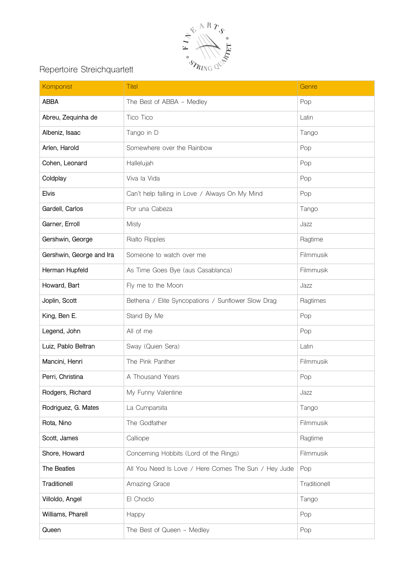

## Repertoire Streichquartett

| Komponist                | <b>Titel</b>                                         | Genre        |
|--------------------------|------------------------------------------------------|--------------|
| <b>ABBA</b>              | The Best of ABBA - Medley                            | Pop          |
| Abreu, Zequinha de       | Tico Tico                                            | Latin        |
| Albeniz, Isaac           | Tango in D                                           | Tango        |
| Arlen, Harold            | Somewhere over the Rainbow                           | Pop          |
| Cohen, Leonard           | Hallelujah                                           | Pop          |
| Coldplay                 | Viva la Vida                                         | Pop          |
| <b>Elvis</b>             | Can't help falling in Love / Always On My Mind       | Pop          |
| Gardell, Carlos          | Por una Cabeza                                       | Tango        |
| Garner, Erroll           | <b>Misty</b>                                         | Jazz         |
| Gershwin, George         | Rialto Ripples                                       | Ragtime      |
| Gershwin, George and Ira | Someone to watch over me                             | Filmmusik    |
| Herman Hupfeld           | As Time Goes Bye (aus Casablanca)                    | Filmmusik    |
| Howard, Bart             | Fly me to the Moon                                   | Jazz         |
| Joplin, Scott            | Bethena / Elite Syncopations / Sunflower Slow Drag   | Ragtimes     |
| King, Ben E.             | Stand By Me                                          | Pop          |
| Legend, John             | All of me                                            | Pop          |
| Luiz, Pablo Beltran      | Sway (Quien Sera)                                    | Latin        |
| Mancini, Henri           | The Pink Panther                                     | Filmmusik    |
| Perri, Christina         | A Thousand Years                                     | Pop          |
| Rodgers, Richard         | My Funny Valentine                                   | Jazz         |
| Rodriguez, G. Mates      | La Cumparsita                                        | Tango        |
| Rota, Nino               | The Godfather                                        | Filmmusik    |
| Scott, James             | Calliope                                             | Ragtime      |
| Shore, Howard            | Concerning Hobbits (Lord of the Rings)               | Filmmusik    |
| The Beatles              | All You Need Is Love / Here Comes The Sun / Hey Jude | Pop          |
| Traditionell             | Amazing Grace                                        | Traditionell |
| Villoldo, Angel          | El Choclo                                            | Tango        |
| Williams, Pharell        | Happy                                                | Pop          |
| Queen                    | The Best of Queen - Medley                           | Pop          |